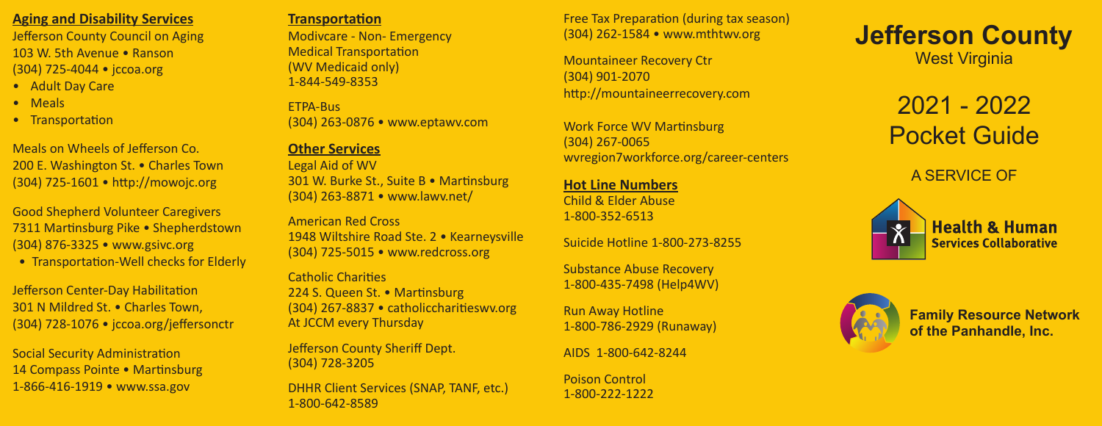## **Aging and Disability Services**

Jefferson County Council on Aging 103 W. 5th Avenue • Ranson (304) 725-4044 • jccoa.org

- Adult Day Care
- Meals
- Transportation

Meals on Wheels of Jefferson Co. 200 E. Washington St. . Charles Town (304) 725-1601 • http://mowojc.org

Good Shepherd Volunteer Caregivers 7311 Martinsburg Pike • Shepherdstown (304) 876-3325 • www.gsivc.org

• Transportation-Well checks for Elderly

Jefferson Center-Day Habilitation 301 N Mildred St. • Charles Town, (304) 728-1076 • jccoa.org/jeffersonctr

Social Security Administration 14 Compass Pointe • Martinsburg 1-866-416-1919 • www.ssa.gov

#### **Transportation**

Modivcare - Non- Emergency Medical Transportation (WV Medicaid only) 1-844-549-8353

ETPA-Bus (304) 263-0876 • www.eptawv.com

### **Other Services**

Legal Aid of WV 301 W. Burke St., Suite B • Martinsburg (304) 263-8871 • www.lawv.net/

American Red Cross 1948 Wiltshire Road Ste. 2 · Kearneysville (304) 725-5015 • www.redcross.org

Catholic Charities 224 S. Queen St. • Martinsburg (304) 267-8837 • catholiccharitieswv.org At JCCM every Thursday

Jefferson County Sheriff Dept. (304) 728-3205

DHHR Client Services (SNAP, TANF, etc.) 1-800-642-8589

Free Tax Preparation (during tax season) (304) 262-1584 • www.mthtwv.org

Mountaineer Recovery Ctr (304) 901-2070 http://mountaineerrecovery.com

Work Force WV Martinsburg (304) 267-0065 wvregion7workforce.org/career-centers

**Hot Line Numbers** Child & Elder Abuse 1-800-352-6513

Suicide Hotline 1-800-273-8255

Substance Abuse Recovery 1-800-435-7498 (Help4WV)

Run Away Hotline 1-800-786-2929 (Runaway)

AIDS 1-800-642-8244

Poison Control 1-800-222-1222 **Jefferson County** West Virginia

> 2021 - 2022 Pocket Guide

> > A SERVICE OF





**Family Resource Network of the Panhandle, Inc.**